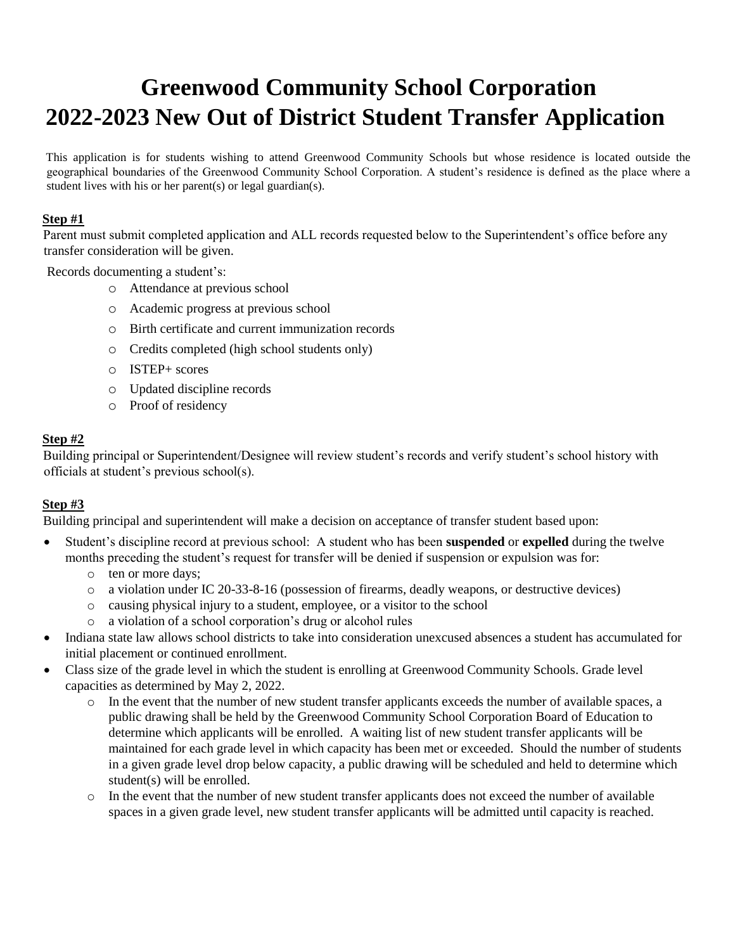# **Greenwood Community School Corporation 2022-2023 New Out of District Student Transfer Application**

This application is for students wishing to attend Greenwood Community Schools but whose residence is located outside the geographical boundaries of the Greenwood Community School Corporation. A student's residence is defined as the place where a student lives with his or her parent(s) or legal guardian(s).

#### **Step #1**

Parent must submit completed application and ALL records requested below to the Superintendent's office before any transfer consideration will be given.

Records documenting a student's:

- o Attendance at previous school
- o Academic progress at previous school
- o Birth certificate and current immunization records
- o Credits completed (high school students only)
- o ISTEP+ scores
- o Updated discipline records
- o Proof of residency

#### **Step #2**

Building principal or Superintendent/Designee will review student's records and verify student's school history with officials at student's previous school(s).

#### **Step #3**

Building principal and superintendent will make a decision on acceptance of transfer student based upon:

- Student's discipline record at previous school: A student who has been **suspended** or **expelled** during the twelve months preceding the student's request for transfer will be denied if suspension or expulsion was for:
	- o ten or more days;
	- o a violation under IC 20-33-8-16 (possession of firearms, deadly weapons, or destructive devices)
	- o causing physical injury to a student, employee, or a visitor to the school
	- o a violation of a school corporation's drug or alcohol rules
- Indiana state law allows school districts to take into consideration unexcused absences a student has accumulated for initial placement or continued enrollment.
- Class size of the grade level in which the student is enrolling at Greenwood Community Schools. Grade level capacities as determined by May 2, 2022.
	- o In the event that the number of new student transfer applicants exceeds the number of available spaces, a public drawing shall be held by the Greenwood Community School Corporation Board of Education to determine which applicants will be enrolled. A waiting list of new student transfer applicants will be maintained for each grade level in which capacity has been met or exceeded. Should the number of students in a given grade level drop below capacity, a public drawing will be scheduled and held to determine which student(s) will be enrolled.
	- o In the event that the number of new student transfer applicants does not exceed the number of available spaces in a given grade level, new student transfer applicants will be admitted until capacity is reached.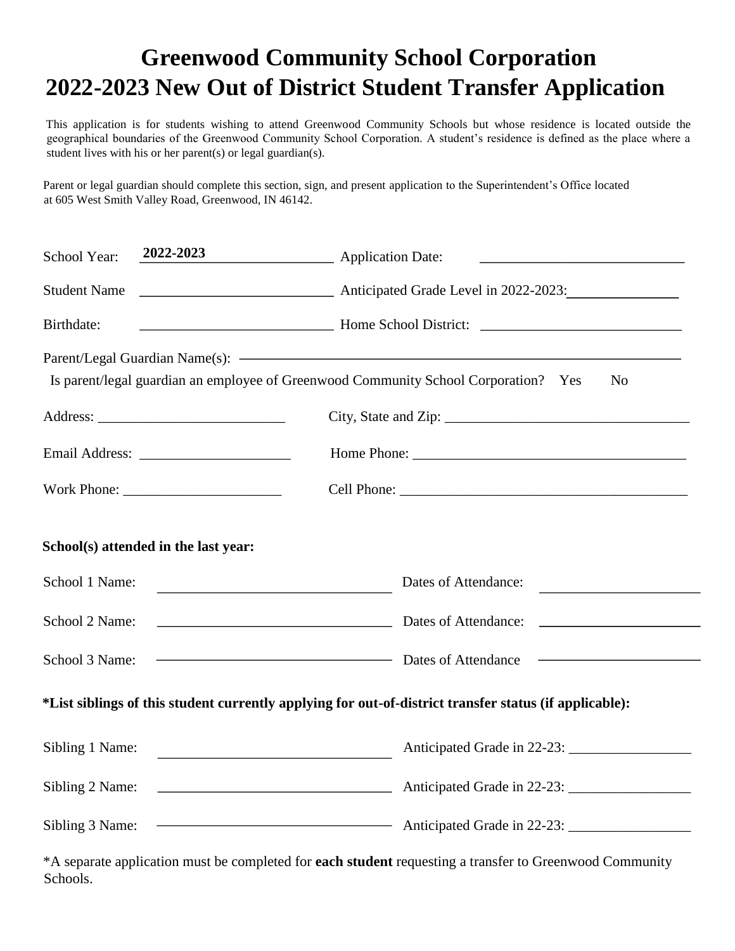## **Greenwood Community School Corporation 2022-2023 New Out of District Student Transfer Application**

This application is for students wishing to attend Greenwood Community Schools but whose residence is located outside the geographical boundaries of the Greenwood Community School Corporation. A student's residence is defined as the place where a student lives with his or her parent(s) or legal guardian(s).

Parent or legal guardian should complete this section, sign, and present application to the Superintendent's Office located at 605 West Smith Valley Road, Greenwood, IN 46142.

| School Year:                                                                                           | 2022-2023                               | Application Date:                                                                                                                                |  |  |  |  |
|--------------------------------------------------------------------------------------------------------|-----------------------------------------|--------------------------------------------------------------------------------------------------------------------------------------------------|--|--|--|--|
| <b>Student Name</b>                                                                                    |                                         | Anticipated Grade Level in 2022-2023:                                                                                                            |  |  |  |  |
| Birthdate:                                                                                             |                                         | Home School District:                                                                                                                            |  |  |  |  |
|                                                                                                        |                                         | Parent/Legal Guardian Name(s): <a><br/>Is parent/legal guardian an employee of Greenwood Community School Corporation? Yes<br/>N<sub>o</sub></a> |  |  |  |  |
|                                                                                                        |                                         |                                                                                                                                                  |  |  |  |  |
|                                                                                                        |                                         |                                                                                                                                                  |  |  |  |  |
|                                                                                                        |                                         |                                                                                                                                                  |  |  |  |  |
|                                                                                                        | School(s) attended in the last year:    |                                                                                                                                                  |  |  |  |  |
| School 1 Name:                                                                                         | <u> 1989 - Johann Barbara, martxa a</u> | Dates of Attendance:                                                                                                                             |  |  |  |  |
| School 2 Name:                                                                                         |                                         | Dates of Attendance:                                                                                                                             |  |  |  |  |
| School 3 Name:                                                                                         |                                         | Dates of Attendance<br><u> 1989 - Johann Stoff, deutscher Stoffen und der Stoffen und der Stoffen und der Stoffen und der Stoffen und der</u>    |  |  |  |  |
| *List siblings of this student currently applying for out-of-district transfer status (if applicable): |                                         |                                                                                                                                                  |  |  |  |  |
| Sibling 1 Name:                                                                                        |                                         |                                                                                                                                                  |  |  |  |  |
| Sibling 2 Name:                                                                                        |                                         | Anticipated Grade in 22-23:                                                                                                                      |  |  |  |  |
| Sibling 3 Name:                                                                                        |                                         | Anticipated Grade in 22-23:                                                                                                                      |  |  |  |  |

\*A separate application must be completed for **each student** requesting a transfer to Greenwood Community Schools.